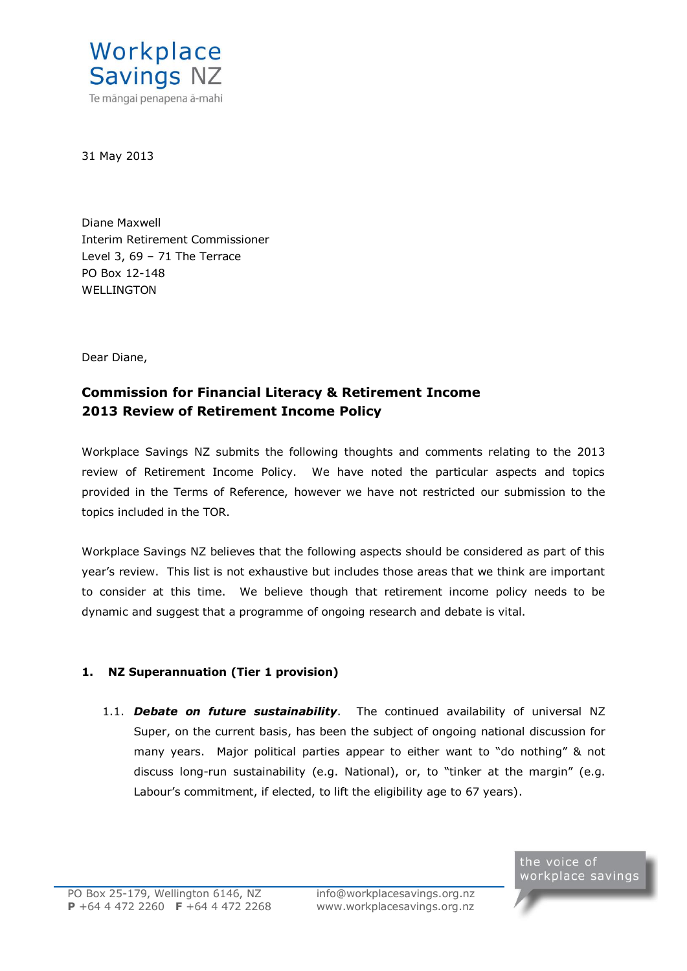

31 May 2013

Diane Maxwell Interim Retirement Commissioner Level 3, 69 – 71 The Terrace PO Box 12-148 WELL **INGTON** 

Dear Diane,

# **Commission for Financial Literacy & Retirement Income 2013 Review of Retirement Income Policy**

Workplace Savings NZ submits the following thoughts and comments relating to the 2013 review of Retirement Income Policy. We have noted the particular aspects and topics provided in the Terms of Reference, however we have not restricted our submission to the topics included in the TOR.

Workplace Savings NZ believes that the following aspects should be considered as part of this year's review. This list is not exhaustive but includes those areas that we think are important to consider at this time. We believe though that retirement income policy needs to be dynamic and suggest that a programme of ongoing research and debate is vital.

## **1. NZ Superannuation (Tier 1 provision)**

1.1. *Debate on future sustainability*. The continued availability of universal NZ Super, on the current basis, has been the subject of ongoing national discussion for many years. Major political parties appear to either want to "do nothing" & not discuss long-run sustainability (e.g. National), or, to "tinker at the margin" (e.g. Labour's commitment, if elected, to lift the eligibility age to 67 years).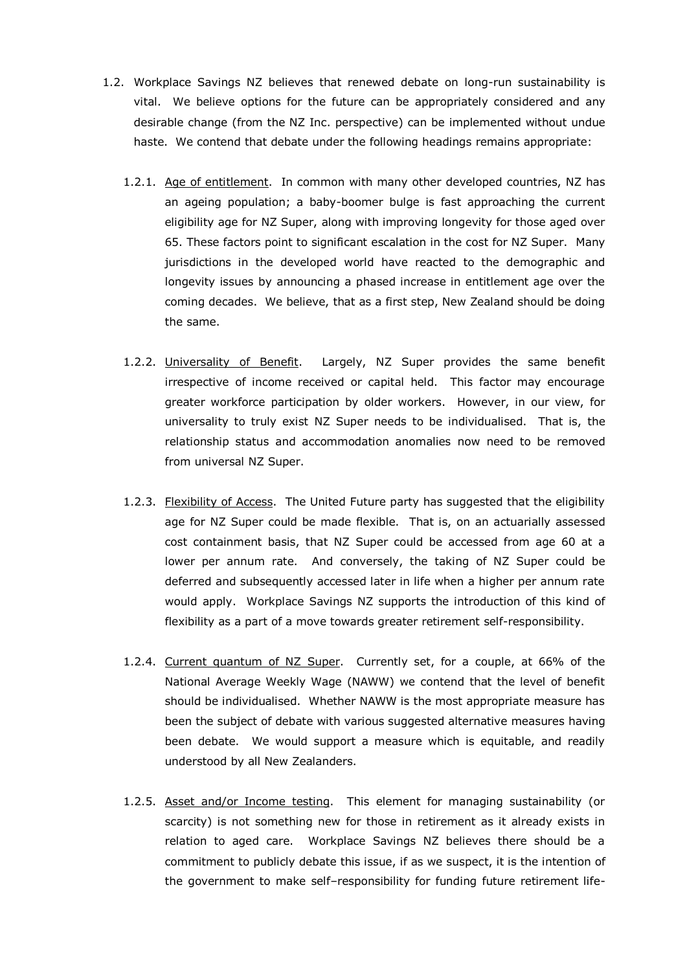- 1.2. Workplace Savings NZ believes that renewed debate on long-run sustainability is vital. We believe options for the future can be appropriately considered and any desirable change (from the NZ Inc. perspective) can be implemented without undue haste. We contend that debate under the following headings remains appropriate:
	- 1.2.1. Age of entitlement. In common with many other developed countries, NZ has an ageing population; a baby-boomer bulge is fast approaching the current eligibility age for NZ Super, along with improving longevity for those aged over 65. These factors point to significant escalation in the cost for NZ Super. Many jurisdictions in the developed world have reacted to the demographic and longevity issues by announcing a phased increase in entitlement age over the coming decades. We believe, that as a first step, New Zealand should be doing the same.
	- 1.2.2. Universality of Benefit. Largely, NZ Super provides the same benefit irrespective of income received or capital held. This factor may encourage greater workforce participation by older workers. However, in our view, for universality to truly exist NZ Super needs to be individualised. That is, the relationship status and accommodation anomalies now need to be removed from universal NZ Super.
	- 1.2.3. Flexibility of Access. The United Future party has suggested that the eligibility age for NZ Super could be made flexible. That is, on an actuarially assessed cost containment basis, that NZ Super could be accessed from age 60 at a lower per annum rate. And conversely, the taking of NZ Super could be deferred and subsequently accessed later in life when a higher per annum rate would apply. Workplace Savings NZ supports the introduction of this kind of flexibility as a part of a move towards greater retirement self-responsibility.
	- 1.2.4. Current quantum of NZ Super. Currently set, for a couple, at 66% of the National Average Weekly Wage (NAWW) we contend that the level of benefit should be individualised. Whether NAWW is the most appropriate measure has been the subject of debate with various suggested alternative measures having been debate. We would support a measure which is equitable, and readily understood by all New Zealanders.
	- 1.2.5. Asset and/or Income testing. This element for managing sustainability (or scarcity) is not something new for those in retirement as it already exists in relation to aged care. Workplace Savings NZ believes there should be a commitment to publicly debate this issue, if as we suspect, it is the intention of the government to make self–responsibility for funding future retirement life-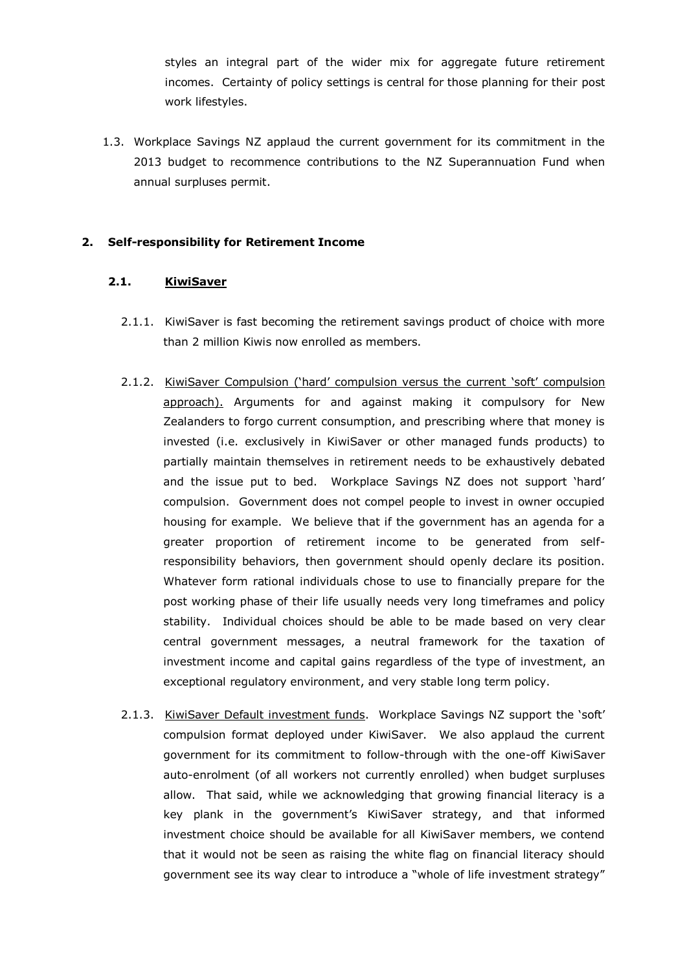styles an integral part of the wider mix for aggregate future retirement incomes. Certainty of policy settings is central for those planning for their post work lifestyles.

1.3. Workplace Savings NZ applaud the current government for its commitment in the 2013 budget to recommence contributions to the NZ Superannuation Fund when annual surpluses permit.

#### **2. Self-responsibility for Retirement Income**

#### **2.1. KiwiSaver**

- 2.1.1. KiwiSaver is fast becoming the retirement savings product of choice with more than 2 million Kiwis now enrolled as members.
- 2.1.2. KiwiSaver Compulsion ('hard' compulsion versus the current 'soft' compulsion approach). Arguments for and against making it compulsory for New Zealanders to forgo current consumption, and prescribing where that money is invested (i.e. exclusively in KiwiSaver or other managed funds products) to partially maintain themselves in retirement needs to be exhaustively debated and the issue put to bed. Workplace Savings NZ does not support 'hard' compulsion. Government does not compel people to invest in owner occupied housing for example. We believe that if the government has an agenda for a greater proportion of retirement income to be generated from selfresponsibility behaviors, then government should openly declare its position. Whatever form rational individuals chose to use to financially prepare for the post working phase of their life usually needs very long timeframes and policy stability. Individual choices should be able to be made based on very clear central government messages, a neutral framework for the taxation of investment income and capital gains regardless of the type of investment, an exceptional regulatory environment, and very stable long term policy.
- 2.1.3. KiwiSaver Default investment funds. Workplace Savings NZ support the 'soft' compulsion format deployed under KiwiSaver. We also applaud the current government for its commitment to follow-through with the one-off KiwiSaver auto-enrolment (of all workers not currently enrolled) when budget surpluses allow. That said, while we acknowledging that growing financial literacy is a key plank in the government's KiwiSaver strategy, and that informed investment choice should be available for all KiwiSaver members, we contend that it would not be seen as raising the white flag on financial literacy should government see its way clear to introduce a "whole of life investment strategy"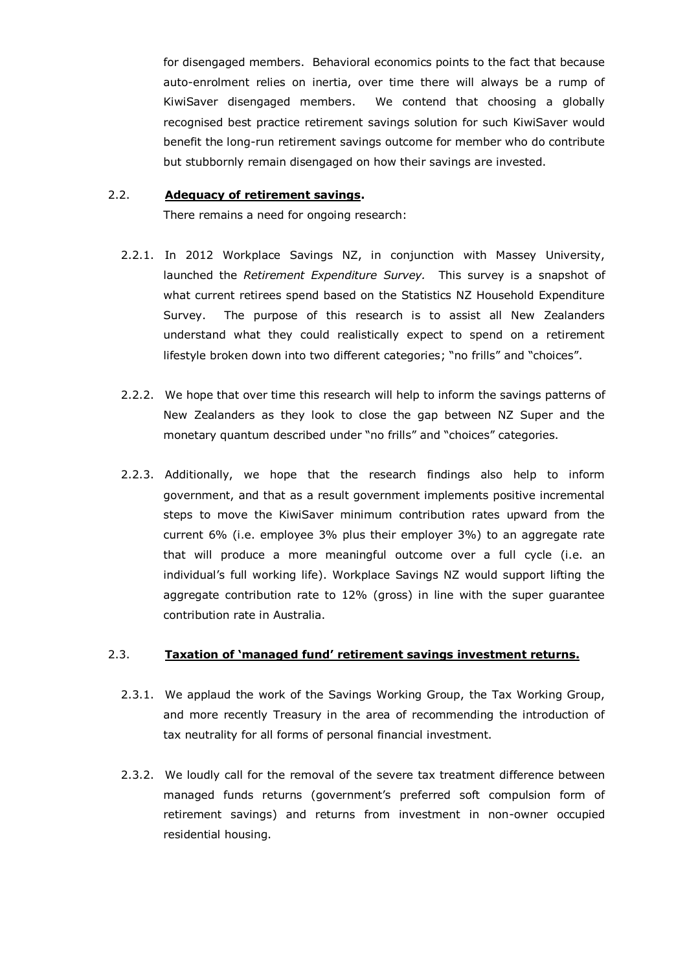for disengaged members. Behavioral economics points to the fact that because auto-enrolment relies on inertia, over time there will always be a rump of KiwiSaver disengaged members. We contend that choosing a globally recognised best practice retirement savings solution for such KiwiSaver would benefit the long-run retirement savings outcome for member who do contribute but stubbornly remain disengaged on how their savings are invested.

#### 2.2. **Adequacy of retirement savings.**

There remains a need for ongoing research:

- 2.2.1. In 2012 Workplace Savings NZ, in conjunction with Massey University, launched the *Retirement Expenditure Survey.* This survey is a snapshot of what current retirees spend based on the Statistics NZ Household Expenditure Survey. The purpose of this research is to assist all New Zealanders understand what they could realistically expect to spend on a retirement lifestyle broken down into two different categories; "no frills" and "choices".
- 2.2.2. We hope that over time this research will help to inform the savings patterns of New Zealanders as they look to close the gap between NZ Super and the monetary quantum described under "no frills" and "choices" categories.
- 2.2.3. Additionally, we hope that the research findings also help to inform government, and that as a result government implements positive incremental steps to move the KiwiSaver minimum contribution rates upward from the current 6% (i.e. employee 3% plus their employer 3%) to an aggregate rate that will produce a more meaningful outcome over a full cycle (i.e. an individual's full working life). Workplace Savings NZ would support lifting the aggregate contribution rate to 12% (gross) in line with the super guarantee contribution rate in Australia.

## 2.3. **Taxation of 'managed fund' retirement savings investment returns.**

- 2.3.1. We applaud the work of the Savings Working Group, the Tax Working Group, and more recently Treasury in the area of recommending the introduction of tax neutrality for all forms of personal financial investment.
- 2.3.2. We loudly call for the removal of the severe tax treatment difference between managed funds returns (government's preferred soft compulsion form of retirement savings) and returns from investment in non-owner occupied residential housing.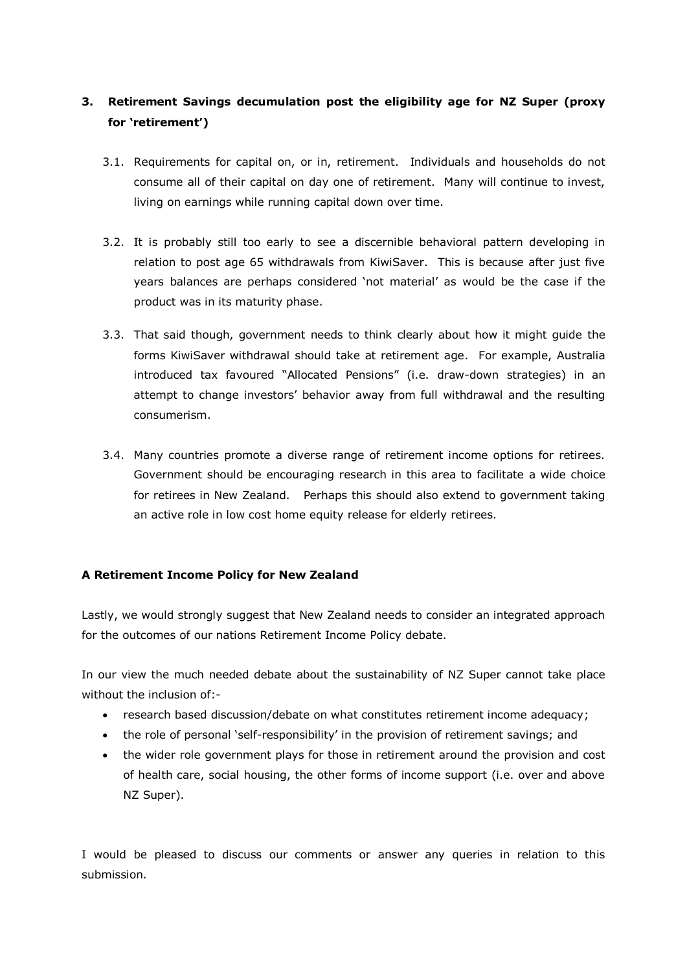## **3. Retirement Savings decumulation post the eligibility age for NZ Super (proxy for 'retirement')**

- 3.1. Requirements for capital on, or in, retirement. Individuals and households do not consume all of their capital on day one of retirement. Many will continue to invest, living on earnings while running capital down over time.
- 3.2. It is probably still too early to see a discernible behavioral pattern developing in relation to post age 65 withdrawals from KiwiSaver. This is because after just five years balances are perhaps considered 'not material' as would be the case if the product was in its maturity phase.
- 3.3. That said though, government needs to think clearly about how it might guide the forms KiwiSaver withdrawal should take at retirement age. For example, Australia introduced tax favoured "Allocated Pensions" (i.e. draw-down strategies) in an attempt to change investors' behavior away from full withdrawal and the resulting consumerism.
- 3.4. Many countries promote a diverse range of retirement income options for retirees. Government should be encouraging research in this area to facilitate a wide choice for retirees in New Zealand. Perhaps this should also extend to government taking an active role in low cost home equity release for elderly retirees.

## **A Retirement Income Policy for New Zealand**

Lastly, we would strongly suggest that New Zealand needs to consider an integrated approach for the outcomes of our nations Retirement Income Policy debate.

In our view the much needed debate about the sustainability of NZ Super cannot take place without the inclusion of:-

- research based discussion/debate on what constitutes retirement income adequacy;
- the role of personal 'self-responsibility' in the provision of retirement savings; and
- the wider role government plays for those in retirement around the provision and cost of health care, social housing, the other forms of income support (i.e. over and above NZ Super).

I would be pleased to discuss our comments or answer any queries in relation to this submission.